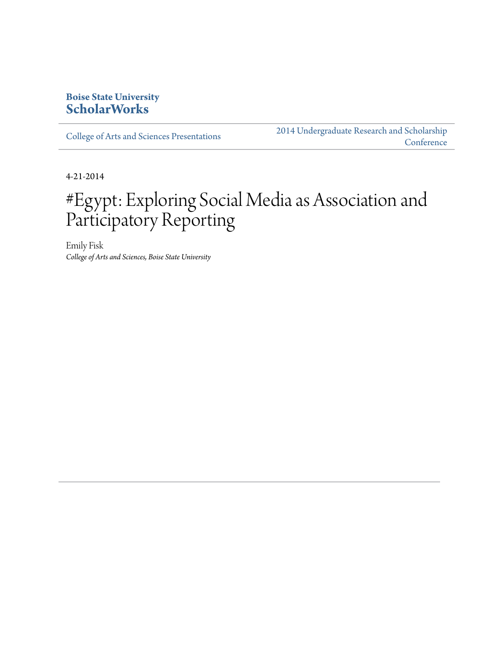# **Boise State University [ScholarWorks](http://scholarworks.boisestate.edu)**

[College of Arts and Sciences Presentations](http://scholarworks.boisestate.edu/as_14)

[2014 Undergraduate Research and Scholarship](http://scholarworks.boisestate.edu/2014_under_conf) **[Conference](http://scholarworks.boisestate.edu/2014_under_conf)** 

4-21-2014

# #Egypt: Exploring Social Media as Association and Participatory Reporting

Emily Fisk *College of Arts and Sciences, Boise State University*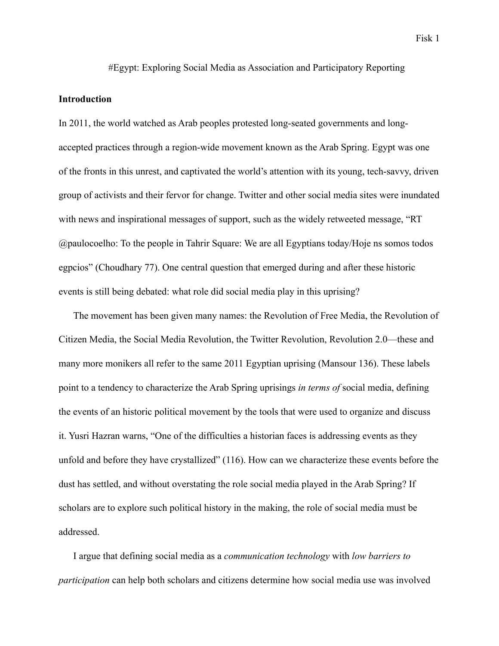#Egypt: Exploring Social Media as Association and Participatory Reporting

# **Introduction**

In 2011, the world watched as Arab peoples protested long-seated governments and longaccepted practices through a region-wide movement known as the Arab Spring. Egypt was one of the fronts in this unrest, and captivated the world's attention with its young, tech-savvy, driven group of activists and their fervor for change. Twitter and other social media sites were inundated with news and inspirational messages of support, such as the widely retweeted message, "RT @paulocoelho: To the people in Tahrir Square: We are all Egyptians today/Hoje ns somos todos egpcios" (Choudhary 77). One central question that emerged during and after these historic events is still being debated: what role did social media play in this uprising?

The movement has been given many names: the Revolution of Free Media, the Revolution of Citizen Media, the Social Media Revolution, the Twitter Revolution, Revolution 2.0—these and many more monikers all refer to the same 2011 Egyptian uprising (Mansour 136). These labels point to a tendency to characterize the Arab Spring uprisings *in terms of* social media, defining the events of an historic political movement by the tools that were used to organize and discuss it. Yusri Hazran warns, "One of the difficulties a historian faces is addressing events as they unfold and before they have crystallized" (116). How can we characterize these events before the dust has settled, and without overstating the role social media played in the Arab Spring? If scholars are to explore such political history in the making, the role of social media must be addressed.

I argue that defining social media as a *communication technology* with *low barriers to participation* can help both scholars and citizens determine how social media use was involved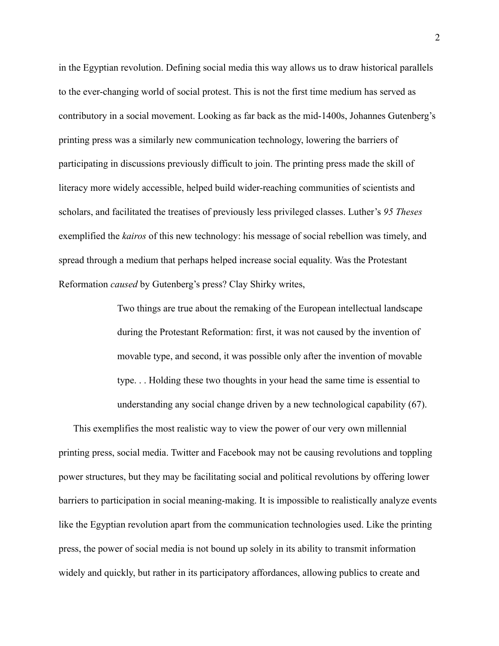in the Egyptian revolution. Defining social media this way allows us to draw historical parallels to the ever-changing world of social protest. This is not the first time medium has served as contributory in a social movement. Looking as far back as the mid-1400s, Johannes Gutenberg's printing press was a similarly new communication technology, lowering the barriers of participating in discussions previously difficult to join. The printing press made the skill of literacy more widely accessible, helped build wider-reaching communities of scientists and scholars, and facilitated the treatises of previously less privileged classes. Luther's *95 Theses*  exemplified the *kairos* of this new technology: his message of social rebellion was timely, and spread through a medium that perhaps helped increase social equality. Was the Protestant Reformation *caused* by Gutenberg's press? Clay Shirky writes,

> Two things are true about the remaking of the European intellectual landscape during the Protestant Reformation: first, it was not caused by the invention of movable type, and second, it was possible only after the invention of movable type. . . Holding these two thoughts in your head the same time is essential to understanding any social change driven by a new technological capability (67).

This exemplifies the most realistic way to view the power of our very own millennial printing press, social media. Twitter and Facebook may not be causing revolutions and toppling power structures, but they may be facilitating social and political revolutions by offering lower barriers to participation in social meaning-making. It is impossible to realistically analyze events like the Egyptian revolution apart from the communication technologies used. Like the printing press, the power of social media is not bound up solely in its ability to transmit information widely and quickly, but rather in its participatory affordances, allowing publics to create and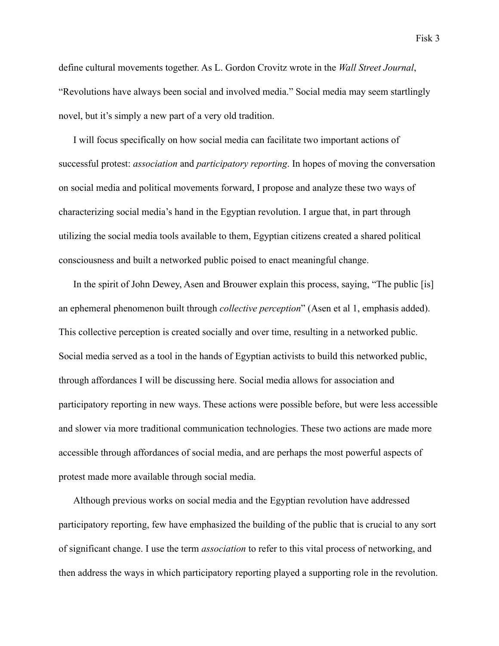define cultural movements together. As L. Gordon Crovitz wrote in the *Wall Street Journal*, "Revolutions have always been social and involved media." Social media may seem startlingly novel, but it's simply a new part of a very old tradition.

I will focus specifically on how social media can facilitate two important actions of successful protest: *association* and *participatory reporting*. In hopes of moving the conversation on social media and political movements forward, I propose and analyze these two ways of characterizing social media's hand in the Egyptian revolution. I argue that, in part through utilizing the social media tools available to them, Egyptian citizens created a shared political consciousness and built a networked public poised to enact meaningful change.

In the spirit of John Dewey, Asen and Brouwer explain this process, saying, "The public [is] an ephemeral phenomenon built through *collective perception*" (Asen et al 1, emphasis added). This collective perception is created socially and over time, resulting in a networked public. Social media served as a tool in the hands of Egyptian activists to build this networked public, through affordances I will be discussing here. Social media allows for association and participatory reporting in new ways. These actions were possible before, but were less accessible and slower via more traditional communication technologies. These two actions are made more accessible through affordances of social media, and are perhaps the most powerful aspects of protest made more available through social media.

Although previous works on social media and the Egyptian revolution have addressed participatory reporting, few have emphasized the building of the public that is crucial to any sort of significant change. I use the term *association* to refer to this vital process of networking, and then address the ways in which participatory reporting played a supporting role in the revolution.

Fisk 3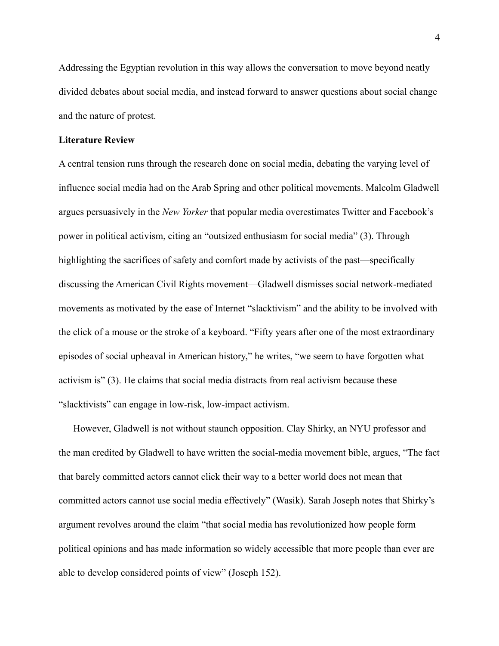Addressing the Egyptian revolution in this way allows the conversation to move beyond neatly divided debates about social media, and instead forward to answer questions about social change and the nature of protest.

## **Literature Review**

A central tension runs through the research done on social media, debating the varying level of influence social media had on the Arab Spring and other political movements. Malcolm Gladwell argues persuasively in the *New Yorker* that popular media overestimates Twitter and Facebook's power in political activism, citing an "outsized enthusiasm for social media" (3). Through highlighting the sacrifices of safety and comfort made by activists of the past—specifically discussing the American Civil Rights movement—Gladwell dismisses social network-mediated movements as motivated by the ease of Internet "slacktivism" and the ability to be involved with the click of a mouse or the stroke of a keyboard. "Fifty years after one of the most extraordinary episodes of social upheaval in American history," he writes, "we seem to have forgotten what activism is" (3). He claims that social media distracts from real activism because these "slacktivists" can engage in low-risk, low-impact activism.

However, Gladwell is not without staunch opposition. Clay Shirky, an NYU professor and the man credited by Gladwell to have written the social-media movement bible, argues, "The fact that barely committed actors cannot click their way to a better world does not mean that committed actors cannot use social media effectively" (Wasik). Sarah Joseph notes that Shirky's argument revolves around the claim "that social media has revolutionized how people form political opinions and has made information so widely accessible that more people than ever are able to develop considered points of view" (Joseph 152).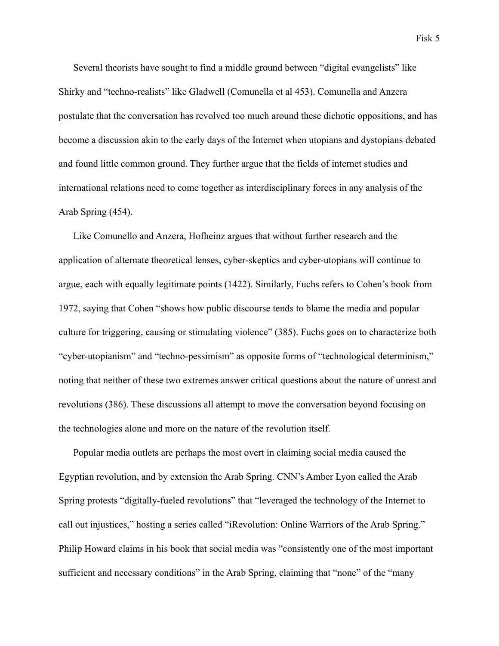Several theorists have sought to find a middle ground between "digital evangelists" like Shirky and "techno-realists" like Gladwell (Comunella et al 453). Comunella and Anzera postulate that the conversation has revolved too much around these dichotic oppositions, and has become a discussion akin to the early days of the Internet when utopians and dystopians debated and found little common ground. They further argue that the fields of internet studies and international relations need to come together as interdisciplinary forces in any analysis of the Arab Spring (454).

Like Comunello and Anzera, Hofheinz argues that without further research and the application of alternate theoretical lenses, cyber-skeptics and cyber-utopians will continue to argue, each with equally legitimate points (1422). Similarly, Fuchs refers to Cohen's book from 1972, saying that Cohen "shows how public discourse tends to blame the media and popular culture for triggering, causing or stimulating violence" (385). Fuchs goes on to characterize both "cyber-utopianism" and "techno-pessimism" as opposite forms of "technological determinism," noting that neither of these two extremes answer critical questions about the nature of unrest and revolutions (386). These discussions all attempt to move the conversation beyond focusing on the technologies alone and more on the nature of the revolution itself.

Popular media outlets are perhaps the most overt in claiming social media caused the Egyptian revolution, and by extension the Arab Spring. CNN's Amber Lyon called the Arab Spring protests "digitally-fueled revolutions" that "leveraged the technology of the Internet to call out injustices," hosting a series called "iRevolution: Online Warriors of the Arab Spring." Philip Howard claims in his book that social media was "consistently one of the most important sufficient and necessary conditions" in the Arab Spring, claiming that "none" of the "many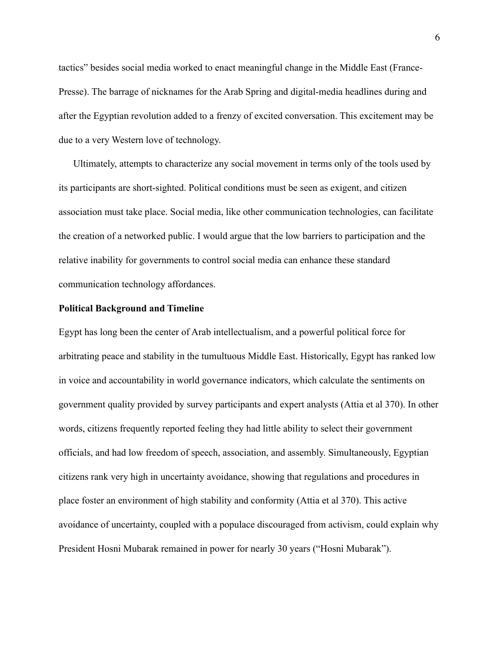tactics" besides social media worked to enact meaningful change in the Middle East (France-Presse). The barrage of nicknames for the Arab Spring and digital-media headlines during and after the Egyptian revolution added to a frenzy of excited conversation. This excitement may be due to a very Western love of technology.

Ultimately, attempts to characterize any social movement in terms only of the tools used by its participants are short-sighted. Political conditions must be seen as exigent, and citizen association must take place. Social media, like other communication technologies, can facilitate the creation of a networked public. I would argue that the low barriers to participation and the relative inability for governments to control social media can enhance these standard communication technology affordances.

#### **Political Background and Timeline**

Egypt has long been the center of Arab intellectualism, and a powerful political force for arbitrating peace and stability in the tumultuous Middle East. Historically, Egypt has ranked low in voice and accountability in world governance indicators, which calculate the sentiments on government quality provided by survey participants and expert analysts (Attia et al 370). In other words, citizens frequently reported feeling they had little ability to select their government officials, and had low freedom of speech, association, and assembly. Simultaneously, Egyptian citizens rank very high in uncertainty avoidance, showing that regulations and procedures in place foster an environment of high stability and conformity (Attia et al 370). This active avoidance of uncertainty, coupled with a populace discouraged from activism, could explain why President Hosni Mubarak remained in power for nearly 30 years ("Hosni Mubarak").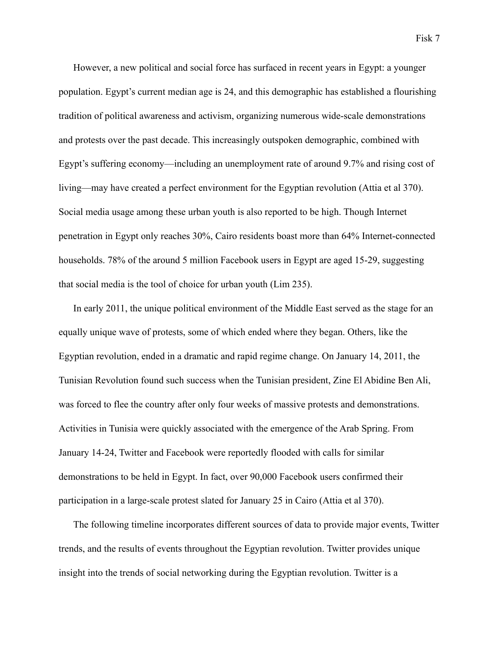However, a new political and social force has surfaced in recent years in Egypt: a younger population. Egypt's current median age is 24, and this demographic has established a flourishing tradition of political awareness and activism, organizing numerous wide-scale demonstrations and protests over the past decade. This increasingly outspoken demographic, combined with Egypt's suffering economy—including an unemployment rate of around 9.7% and rising cost of living—may have created a perfect environment for the Egyptian revolution (Attia et al 370). Social media usage among these urban youth is also reported to be high. Though Internet penetration in Egypt only reaches 30%, Cairo residents boast more than 64% Internet-connected households. 78% of the around 5 million Facebook users in Egypt are aged 15-29, suggesting that social media is the tool of choice for urban youth (Lim 235).

In early 2011, the unique political environment of the Middle East served as the stage for an equally unique wave of protests, some of which ended where they began. Others, like the Egyptian revolution, ended in a dramatic and rapid regime change. On January 14, 2011, the Tunisian Revolution found such success when the Tunisian president, Zine El Abidine Ben Ali, was forced to flee the country after only four weeks of massive protests and demonstrations. Activities in Tunisia were quickly associated with the emergence of the Arab Spring. From January 14-24, Twitter and Facebook were reportedly flooded with calls for similar demonstrations to be held in Egypt. In fact, over 90,000 Facebook users confirmed their participation in a large-scale protest slated for January 25 in Cairo (Attia et al 370).

The following timeline incorporates different sources of data to provide major events, Twitter trends, and the results of events throughout the Egyptian revolution. Twitter provides unique insight into the trends of social networking during the Egyptian revolution. Twitter is a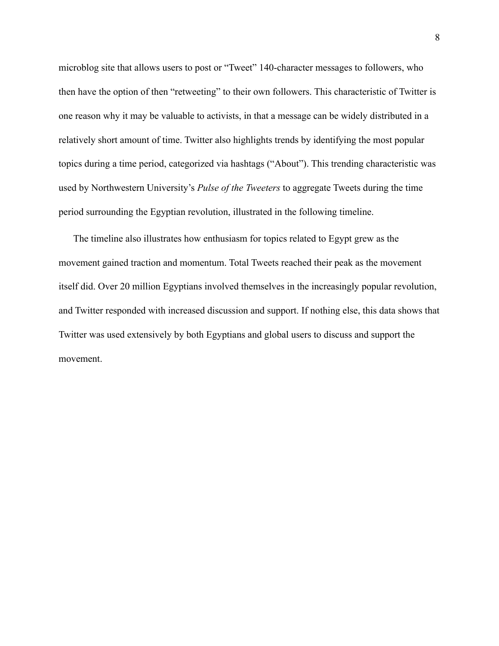microblog site that allows users to post or "Tweet" 140-character messages to followers, who then have the option of then "retweeting" to their own followers. This characteristic of Twitter is one reason why it may be valuable to activists, in that a message can be widely distributed in a relatively short amount of time. Twitter also highlights trends by identifying the most popular topics during a time period, categorized via hashtags ("About"). This trending characteristic was used by Northwestern University's *Pulse of the Tweeters* to aggregate Tweets during the time period surrounding the Egyptian revolution, illustrated in the following timeline.

The timeline also illustrates how enthusiasm for topics related to Egypt grew as the movement gained traction and momentum. Total Tweets reached their peak as the movement itself did. Over 20 million Egyptians involved themselves in the increasingly popular revolution, and Twitter responded with increased discussion and support. If nothing else, this data shows that Twitter was used extensively by both Egyptians and global users to discuss and support the movement.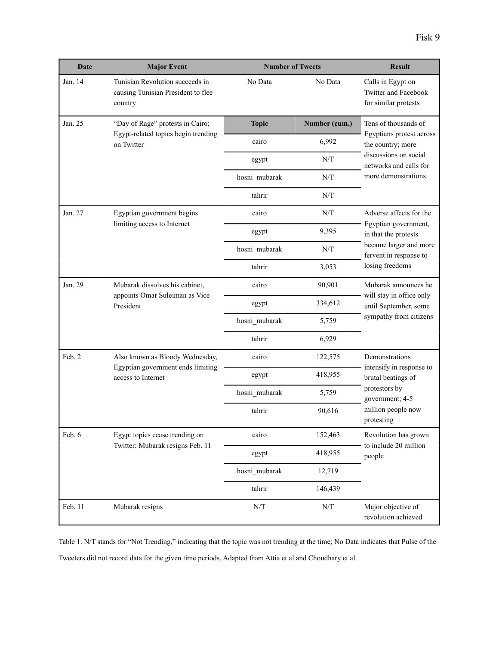| <b>Date</b> | <b>Major Event</b>                                                                         | <b>Number of Tweets</b>                              |                                                      | <b>Result</b>                                                                                                                                   |
|-------------|--------------------------------------------------------------------------------------------|------------------------------------------------------|------------------------------------------------------|-------------------------------------------------------------------------------------------------------------------------------------------------|
| Jan. 14     | Tunisian Revolution succeeds in<br>causing Tunisian President to flee<br>country           | No Data                                              | No Data                                              | Calls in Egypt on<br>Twitter and Facebook<br>for similar protests                                                                               |
| Jan. 25     | "Day of Rage" protests in Cairo;<br>Egypt-related topics begin trending<br>on Twitter      | <b>Topic</b>                                         | Number (cum.)                                        | Tens of thousands of<br>Egyptians protest across<br>the country; more<br>discussions on social<br>networks and calls for<br>more demonstrations |
|             |                                                                                            | cairo                                                | 6,992                                                |                                                                                                                                                 |
|             |                                                                                            | egypt                                                | N/T                                                  |                                                                                                                                                 |
|             |                                                                                            | hosni_mubarak                                        | N/T                                                  |                                                                                                                                                 |
|             |                                                                                            | tahrir                                               | N/T                                                  |                                                                                                                                                 |
| Jan. 27     | Egyptian government begins<br>limiting access to Internet                                  | cairo                                                | $\ensuremath{\text{N}}\xspace/\ensuremath{\text{T}}$ | Adverse affects for the<br>Egyptian government,<br>in that the protests<br>became larger and more<br>fervent in response to<br>losing freedoms  |
|             |                                                                                            | egypt                                                | 9,395                                                |                                                                                                                                                 |
|             |                                                                                            | hosni_mubarak                                        | N/T                                                  |                                                                                                                                                 |
|             |                                                                                            | tahrir                                               | 3,053                                                |                                                                                                                                                 |
| Jan. 29     | Mubarak dissolves his cabinet,<br>appoints Omar Suleiman as Vice<br>President              | cairo                                                | 90,901                                               | Mubarak announces he<br>will stay in office only<br>until September, some<br>sympathy from citizens                                             |
|             |                                                                                            | egypt                                                | 334,612                                              |                                                                                                                                                 |
|             |                                                                                            | hosni_mubarak                                        | 5,759                                                |                                                                                                                                                 |
|             |                                                                                            | tahrir                                               | 6,929                                                |                                                                                                                                                 |
| Feb. 2      | Also known as Bloody Wednesday,<br>Egyptian government ends limiting<br>access to Internet | cairo                                                | 122,575                                              | Demonstrations<br>intensify in response to<br>brutal beatings of<br>protestors by<br>government; 4-5<br>million people now<br>protesting        |
|             |                                                                                            | egypt                                                | 418,955                                              |                                                                                                                                                 |
|             |                                                                                            | hosni mubarak                                        | 5,759                                                |                                                                                                                                                 |
|             |                                                                                            | tahrir                                               | 90,616                                               |                                                                                                                                                 |
| Feb. 6      | Egypt topics cease trending on<br>Twitter; Mubarak resigns Feb. 11                         | cairo                                                | 152,463                                              | Revolution has grown<br>to include 20 million<br>people                                                                                         |
|             |                                                                                            | egypt                                                | 418,955                                              |                                                                                                                                                 |
|             |                                                                                            | hosni_mubarak                                        | 12,719                                               |                                                                                                                                                 |
|             |                                                                                            | tahrir                                               | 146,439                                              |                                                                                                                                                 |
| Feb. 11     | Mubarak resigns                                                                            | $\ensuremath{\text{N}}\xspace/\ensuremath{\text{T}}$ | $\ensuremath{\text{N}}\xspace/\ensuremath{\text{T}}$ | Major objective of<br>revolution achieved                                                                                                       |

Table 1. N/T stands for "Not Trending," indicating that the topic was not trending at the time; No Data indicates that Pulse of the Tweeters did not record data for the given time periods. Adapted from Attia et al and Choudhary et al.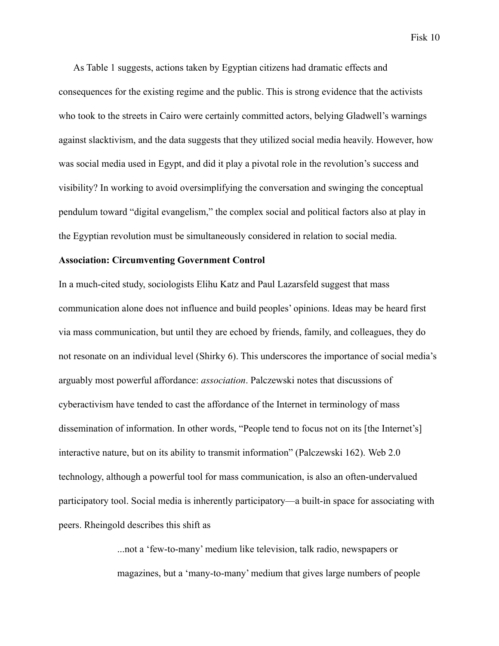As Table 1 suggests, actions taken by Egyptian citizens had dramatic effects and consequences for the existing regime and the public. This is strong evidence that the activists who took to the streets in Cairo were certainly committed actors, belying Gladwell's warnings against slacktivism, and the data suggests that they utilized social media heavily. However, how was social media used in Egypt, and did it play a pivotal role in the revolution's success and visibility? In working to avoid oversimplifying the conversation and swinging the conceptual pendulum toward "digital evangelism," the complex social and political factors also at play in the Egyptian revolution must be simultaneously considered in relation to social media.

### **Association: Circumventing Government Control**

In a much-cited study, sociologists Elihu Katz and Paul Lazarsfeld suggest that mass communication alone does not influence and build peoples' opinions. Ideas may be heard first via mass communication, but until they are echoed by friends, family, and colleagues, they do not resonate on an individual level (Shirky 6). This underscores the importance of social media's arguably most powerful affordance: *association*. Palczewski notes that discussions of cyberactivism have tended to cast the affordance of the Internet in terminology of mass dissemination of information. In other words, "People tend to focus not on its [the Internet's] interactive nature, but on its ability to transmit information" (Palczewski 162). Web 2.0 technology, although a powerful tool for mass communication, is also an often-undervalued participatory tool. Social media is inherently participatory—a built-in space for associating with peers. Rheingold describes this shift as

> ...not a 'few-to-many' medium like television, talk radio, newspapers or magazines, but a 'many-to-many' medium that gives large numbers of people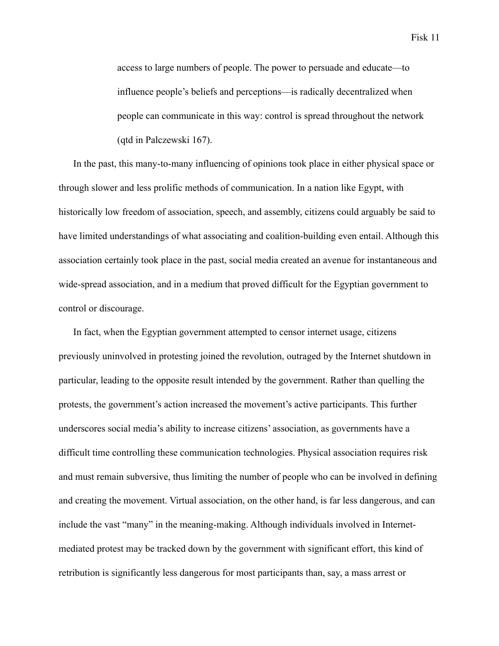access to large numbers of people. The power to persuade and educate—to influence people's beliefs and perceptions—is radically decentralized when people can communicate in this way: control is spread throughout the network (qtd in Palczewski 167).

In the past, this many-to-many influencing of opinions took place in either physical space or through slower and less prolific methods of communication. In a nation like Egypt, with historically low freedom of association, speech, and assembly, citizens could arguably be said to have limited understandings of what associating and coalition-building even entail. Although this association certainly took place in the past, social media created an avenue for instantaneous and wide-spread association, and in a medium that proved difficult for the Egyptian government to control or discourage.

In fact, when the Egyptian government attempted to censor internet usage, citizens previously uninvolved in protesting joined the revolution, outraged by the Internet shutdown in particular, leading to the opposite result intended by the government. Rather than quelling the protests, the government's action increased the movement's active participants. This further underscores social media's ability to increase citizens' association, as governments have a difficult time controlling these communication technologies. Physical association requires risk and must remain subversive, thus limiting the number of people who can be involved in defining and creating the movement. Virtual association, on the other hand, is far less dangerous, and can include the vast "many" in the meaning-making. Although individuals involved in Internetmediated protest may be tracked down by the government with significant effort, this kind of retribution is significantly less dangerous for most participants than, say, a mass arrest or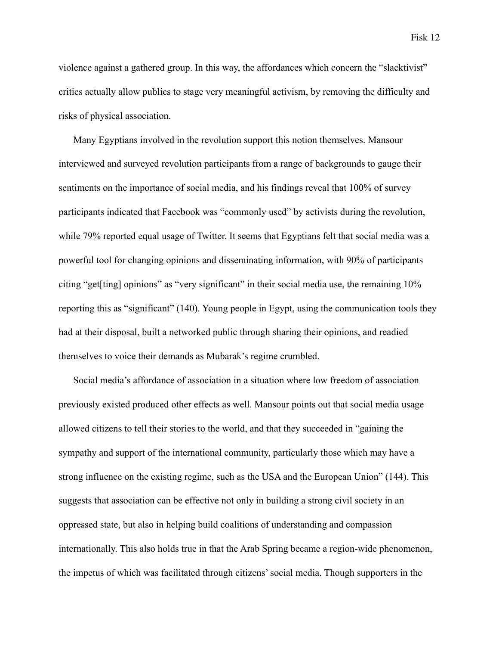Fisk 12

violence against a gathered group. In this way, the affordances which concern the "slacktivist" critics actually allow publics to stage very meaningful activism, by removing the difficulty and risks of physical association.

Many Egyptians involved in the revolution support this notion themselves. Mansour interviewed and surveyed revolution participants from a range of backgrounds to gauge their sentiments on the importance of social media, and his findings reveal that 100% of survey participants indicated that Facebook was "commonly used" by activists during the revolution, while 79% reported equal usage of Twitter. It seems that Egyptians felt that social media was a powerful tool for changing opinions and disseminating information, with 90% of participants citing "get[ting] opinions" as "very significant" in their social media use, the remaining 10% reporting this as "significant" (140). Young people in Egypt, using the communication tools they had at their disposal, built a networked public through sharing their opinions, and readied themselves to voice their demands as Mubarak's regime crumbled.

Social media's affordance of association in a situation where low freedom of association previously existed produced other effects as well. Mansour points out that social media usage allowed citizens to tell their stories to the world, and that they succeeded in "gaining the sympathy and support of the international community, particularly those which may have a strong influence on the existing regime, such as the USA and the European Union" (144). This suggests that association can be effective not only in building a strong civil society in an oppressed state, but also in helping build coalitions of understanding and compassion internationally. This also holds true in that the Arab Spring became a region-wide phenomenon, the impetus of which was facilitated through citizens' social media. Though supporters in the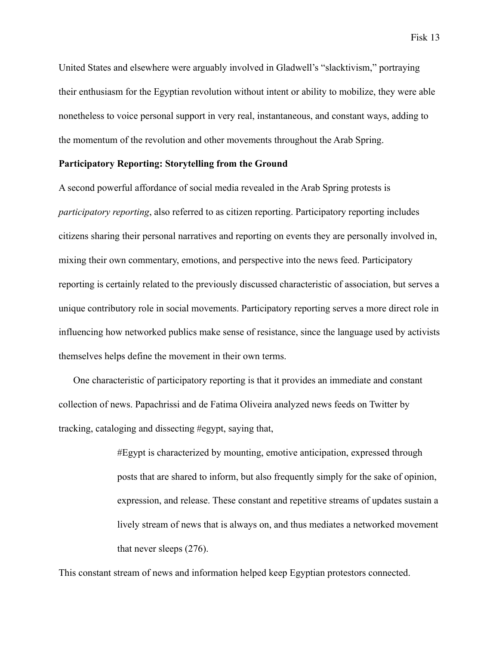United States and elsewhere were arguably involved in Gladwell's "slacktivism," portraying their enthusiasm for the Egyptian revolution without intent or ability to mobilize, they were able nonetheless to voice personal support in very real, instantaneous, and constant ways, adding to the momentum of the revolution and other movements throughout the Arab Spring.

# **Participatory Reporting: Storytelling from the Ground**

A second powerful affordance of social media revealed in the Arab Spring protests is *participatory reporting*, also referred to as citizen reporting. Participatory reporting includes citizens sharing their personal narratives and reporting on events they are personally involved in, mixing their own commentary, emotions, and perspective into the news feed. Participatory reporting is certainly related to the previously discussed characteristic of association, but serves a unique contributory role in social movements. Participatory reporting serves a more direct role in influencing how networked publics make sense of resistance, since the language used by activists themselves helps define the movement in their own terms.

One characteristic of participatory reporting is that it provides an immediate and constant collection of news. Papachrissi and de Fatima Oliveira analyzed news feeds on Twitter by tracking, cataloging and dissecting #egypt, saying that,

> #Egypt is characterized by mounting, emotive anticipation, expressed through posts that are shared to inform, but also frequently simply for the sake of opinion, expression, and release. These constant and repetitive streams of updates sustain a lively stream of news that is always on, and thus mediates a networked movement that never sleeps (276).

This constant stream of news and information helped keep Egyptian protestors connected.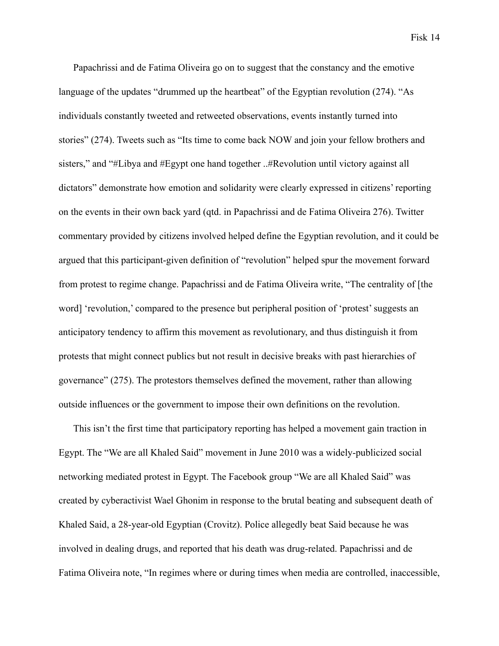Papachrissi and de Fatima Oliveira go on to suggest that the constancy and the emotive language of the updates "drummed up the heartbeat" of the Egyptian revolution (274). "As individuals constantly tweeted and retweeted observations, events instantly turned into stories" (274). Tweets such as "Its time to come back NOW and join your fellow brothers and sisters," and "#Libya and #Egypt one hand together ..#Revolution until victory against all dictators" demonstrate how emotion and solidarity were clearly expressed in citizens' reporting on the events in their own back yard (qtd. in Papachrissi and de Fatima Oliveira 276). Twitter commentary provided by citizens involved helped define the Egyptian revolution, and it could be argued that this participant-given definition of "revolution" helped spur the movement forward from protest to regime change. Papachrissi and de Fatima Oliveira write, "The centrality of [the word] 'revolution,' compared to the presence but peripheral position of 'protest' suggests an anticipatory tendency to affirm this movement as revolutionary, and thus distinguish it from protests that might connect publics but not result in decisive breaks with past hierarchies of governance" (275). The protestors themselves defined the movement, rather than allowing outside influences or the government to impose their own definitions on the revolution.

This isn't the first time that participatory reporting has helped a movement gain traction in Egypt. The "We are all Khaled Said" movement in June 2010 was a widely-publicized social networking mediated protest in Egypt. The Facebook group "We are all Khaled Said" was created by cyberactivist Wael Ghonim in response to the brutal beating and subsequent death of Khaled Said, a 28-year-old Egyptian (Crovitz). Police allegedly beat Said because he was involved in dealing drugs, and reported that his death was drug-related. Papachrissi and de Fatima Oliveira note, "In regimes where or during times when media are controlled, inaccessible,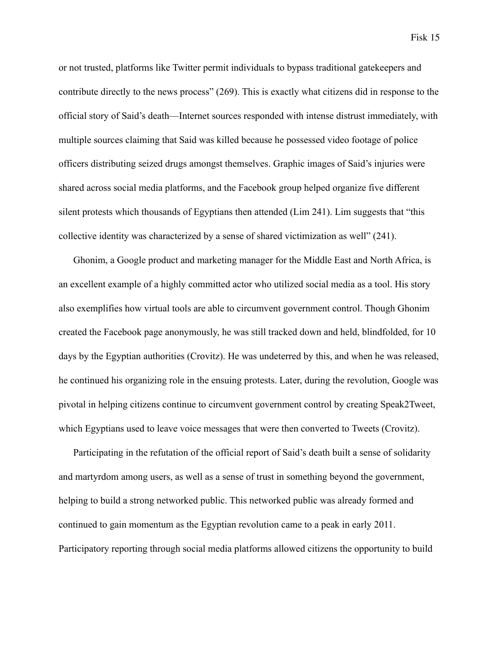or not trusted, platforms like Twitter permit individuals to bypass traditional gatekeepers and contribute directly to the news process" (269). This is exactly what citizens did in response to the official story of Said's death—Internet sources responded with intense distrust immediately, with multiple sources claiming that Said was killed because he possessed video footage of police officers distributing seized drugs amongst themselves. Graphic images of Said's injuries were shared across social media platforms, and the Facebook group helped organize five different silent protests which thousands of Egyptians then attended (Lim 241). Lim suggests that "this collective identity was characterized by a sense of shared victimization as well" (241).

Ghonim, a Google product and marketing manager for the Middle East and North Africa, is an excellent example of a highly committed actor who utilized social media as a tool. His story also exemplifies how virtual tools are able to circumvent government control. Though Ghonim created the Facebook page anonymously, he was still tracked down and held, blindfolded, for 10 days by the Egyptian authorities (Crovitz). He was undeterred by this, and when he was released, he continued his organizing role in the ensuing protests. Later, during the revolution, Google was pivotal in helping citizens continue to circumvent government control by creating Speak2Tweet, which Egyptians used to leave voice messages that were then converted to Tweets (Crovitz).

Participating in the refutation of the official report of Said's death built a sense of solidarity and martyrdom among users, as well as a sense of trust in something beyond the government, helping to build a strong networked public. This networked public was already formed and continued to gain momentum as the Egyptian revolution came to a peak in early 2011. Participatory reporting through social media platforms allowed citizens the opportunity to build

Fisk 15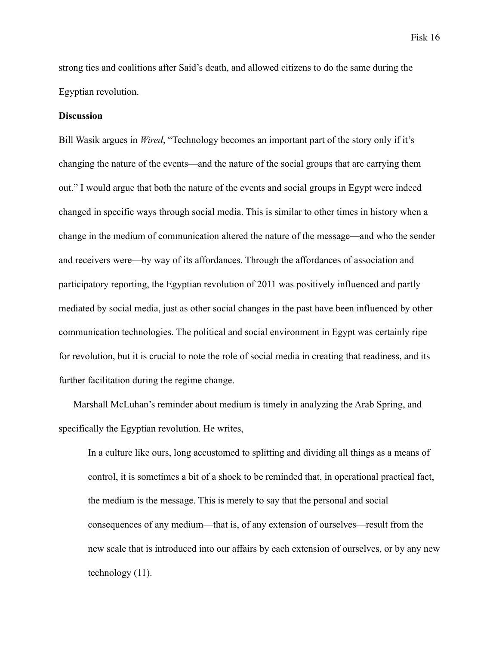strong ties and coalitions after Said's death, and allowed citizens to do the same during the Egyptian revolution.

# **Discussion**

Bill Wasik argues in *Wired*, "Technology becomes an important part of the story only if it's changing the nature of the events—and the nature of the social groups that are carrying them out." I would argue that both the nature of the events and social groups in Egypt were indeed changed in specific ways through social media. This is similar to other times in history when a change in the medium of communication altered the nature of the message—and who the sender and receivers were—by way of its affordances. Through the affordances of association and participatory reporting, the Egyptian revolution of 2011 was positively influenced and partly mediated by social media, just as other social changes in the past have been influenced by other communication technologies. The political and social environment in Egypt was certainly ripe for revolution, but it is crucial to note the role of social media in creating that readiness, and its further facilitation during the regime change.

Marshall McLuhan's reminder about medium is timely in analyzing the Arab Spring, and specifically the Egyptian revolution. He writes,

In a culture like ours, long accustomed to splitting and dividing all things as a means of control, it is sometimes a bit of a shock to be reminded that, in operational practical fact, the medium is the message. This is merely to say that the personal and social consequences of any medium—that is, of any extension of ourselves—result from the new scale that is introduced into our affairs by each extension of ourselves, or by any new technology (11).

Fisk 16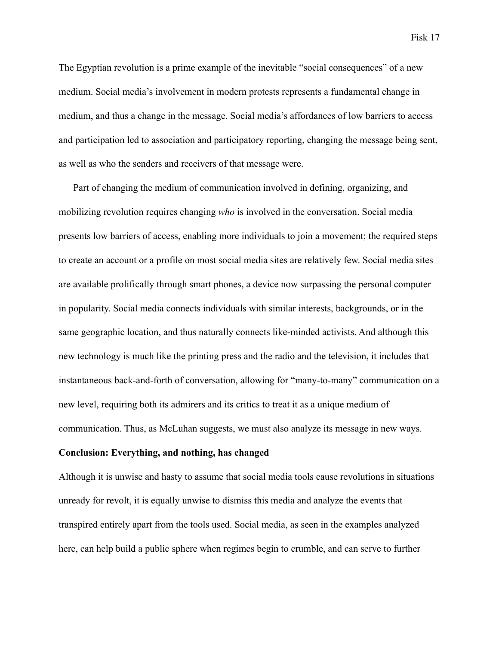The Egyptian revolution is a prime example of the inevitable "social consequences" of a new medium. Social media's involvement in modern protests represents a fundamental change in medium, and thus a change in the message. Social media's affordances of low barriers to access and participation led to association and participatory reporting, changing the message being sent, as well as who the senders and receivers of that message were.

Part of changing the medium of communication involved in defining, organizing, and mobilizing revolution requires changing *who* is involved in the conversation. Social media presents low barriers of access, enabling more individuals to join a movement; the required steps to create an account or a profile on most social media sites are relatively few. Social media sites are available prolifically through smart phones, a device now surpassing the personal computer in popularity. Social media connects individuals with similar interests, backgrounds, or in the same geographic location, and thus naturally connects like-minded activists. And although this new technology is much like the printing press and the radio and the television, it includes that instantaneous back-and-forth of conversation, allowing for "many-to-many" communication on a new level, requiring both its admirers and its critics to treat it as a unique medium of communication. Thus, as McLuhan suggests, we must also analyze its message in new ways.

# **Conclusion: Everything, and nothing, has changed**

Although it is unwise and hasty to assume that social media tools cause revolutions in situations unready for revolt, it is equally unwise to dismiss this media and analyze the events that transpired entirely apart from the tools used. Social media, as seen in the examples analyzed here, can help build a public sphere when regimes begin to crumble, and can serve to further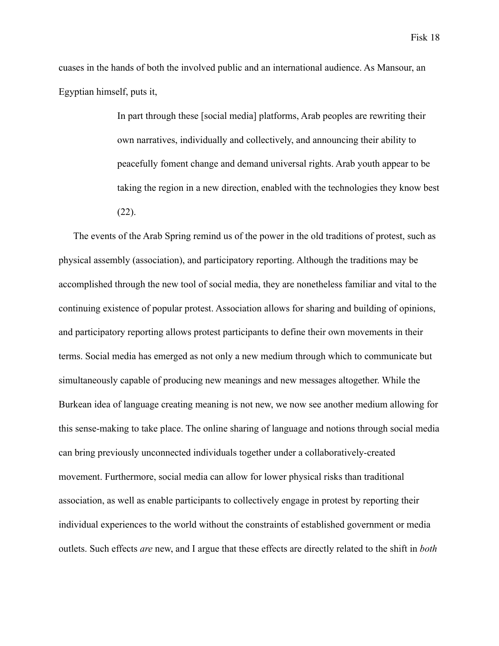cuases in the hands of both the involved public and an international audience. As Mansour, an Egyptian himself, puts it,

> In part through these [social media] platforms, Arab peoples are rewriting their own narratives, individually and collectively, and announcing their ability to peacefully foment change and demand universal rights. Arab youth appear to be taking the region in a new direction, enabled with the technologies they know best (22).

The events of the Arab Spring remind us of the power in the old traditions of protest, such as physical assembly (association), and participatory reporting. Although the traditions may be accomplished through the new tool of social media, they are nonetheless familiar and vital to the continuing existence of popular protest. Association allows for sharing and building of opinions, and participatory reporting allows protest participants to define their own movements in their terms. Social media has emerged as not only a new medium through which to communicate but simultaneously capable of producing new meanings and new messages altogether. While the Burkean idea of language creating meaning is not new, we now see another medium allowing for this sense-making to take place. The online sharing of language and notions through social media can bring previously unconnected individuals together under a collaboratively-created movement. Furthermore, social media can allow for lower physical risks than traditional association, as well as enable participants to collectively engage in protest by reporting their individual experiences to the world without the constraints of established government or media outlets. Such effects *are* new, and I argue that these effects are directly related to the shift in *both*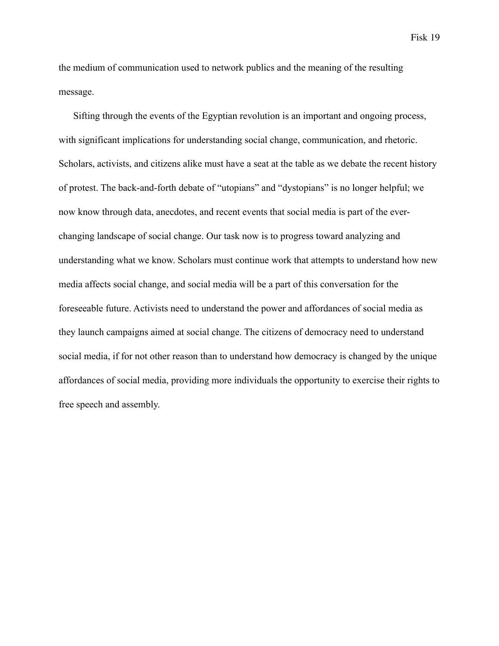the medium of communication used to network publics and the meaning of the resulting message.

Sifting through the events of the Egyptian revolution is an important and ongoing process, with significant implications for understanding social change, communication, and rhetoric. Scholars, activists, and citizens alike must have a seat at the table as we debate the recent history of protest. The back-and-forth debate of "utopians" and "dystopians" is no longer helpful; we now know through data, anecdotes, and recent events that social media is part of the everchanging landscape of social change. Our task now is to progress toward analyzing and understanding what we know. Scholars must continue work that attempts to understand how new media affects social change, and social media will be a part of this conversation for the foreseeable future. Activists need to understand the power and affordances of social media as they launch campaigns aimed at social change. The citizens of democracy need to understand social media, if for not other reason than to understand how democracy is changed by the unique affordances of social media, providing more individuals the opportunity to exercise their rights to free speech and assembly.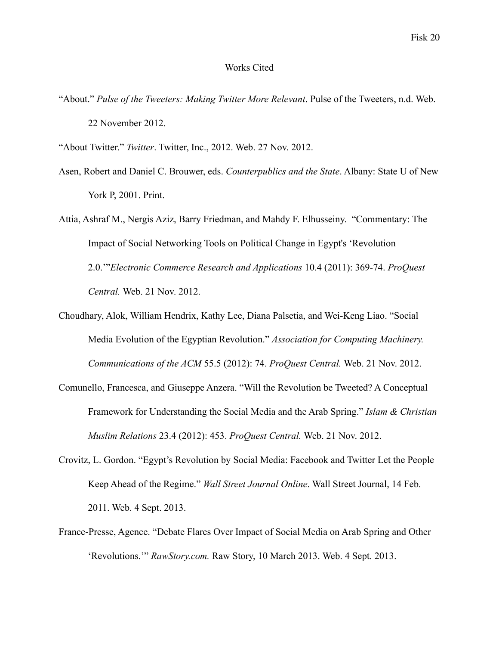# Works Cited

"About." *Pulse of the Tweeters: Making Twitter More Relevant*. Pulse of the Tweeters, n.d. Web. 22 November 2012.

"About Twitter." *Twitter*. Twitter, Inc., 2012. Web. 27 Nov. 2012.

- Asen, Robert and Daniel C. Brouwer, eds. *Counterpublics and the State*. Albany: State U of New York P, 2001. Print.
- Attia, Ashraf M., Nergis Aziz, Barry Friedman, and Mahdy F. Elhusseiny. "Commentary: The Impact of Social Networking Tools on Political Change in Egypt's 'Revolution 2.0.'"*Electronic Commerce Research and Applications* 10.4 (2011): 369-74. *ProQuest Central.* Web. 21 Nov. 2012.
- Choudhary, Alok, William Hendrix, Kathy Lee, Diana Palsetia, and Wei-Keng Liao. "Social Media Evolution of the Egyptian Revolution." *Association for Computing Machinery. Communications of the ACM* 55.5 (2012): 74. *ProQuest Central.* Web. 21 Nov. 2012.
- Comunello, Francesca, and Giuseppe Anzera. "Will the Revolution be Tweeted? A Conceptual Framework for Understanding the Social Media and the Arab Spring." *Islam & Christian Muslim Relations* 23.4 (2012): 453. *ProQuest Central.* Web. 21 Nov. 2012.
- Crovitz, L. Gordon. "Egypt's Revolution by Social Media: Facebook and Twitter Let the People Keep Ahead of the Regime." *Wall Street Journal Online*. Wall Street Journal, 14 Feb. 2011. Web. 4 Sept. 2013.
- France-Presse, Agence. "Debate Flares Over Impact of Social Media on Arab Spring and Other 'Revolutions.'" *RawStory.com.* Raw Story, 10 March 2013. Web. 4 Sept. 2013.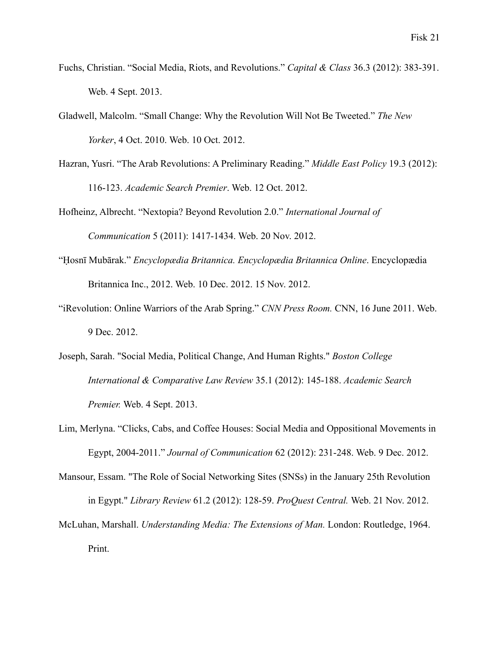- Fuchs, Christian. "Social Media, Riots, and Revolutions." *Capital & Class* 36.3 (2012): 383-391. Web. 4 Sept. 2013.
- Gladwell, Malcolm. "Small Change: Why the Revolution Will Not Be Tweeted." *The New Yorker*, 4 Oct. 2010. Web. 10 Oct. 2012.
- Hazran, Yusri. "The Arab Revolutions: A Preliminary Reading." *Middle East Policy* 19.3 (2012): 116-123. *Academic Search Premier*. Web. 12 Oct. 2012.
- Hofheinz, Albrecht. "Nextopia? Beyond Revolution 2.0." *International Journal of Communication* 5 (2011): 1417-1434. Web. 20 Nov. 2012.
- "Ḥosnī Mubārak." *Encyclopædia Britannica. Encyclopædia Britannica Online*. Encyclopædia Britannica Inc., 2012. Web. 10 Dec. 2012. 15 Nov. 2012.
- "iRevolution: Online Warriors of the Arab Spring." *CNN Press Room.* CNN, 16 June 2011. Web. 9 Dec. 2012.
- Joseph, Sarah. "Social Media, Political Change, And Human Rights." *Boston College International & Comparative Law Review* 35.1 (2012): 145-188. *Academic Search Premier.* Web. 4 Sept. 2013.
- Lim, Merlyna. "Clicks, Cabs, and Coffee Houses: Social Media and Oppositional Movements in Egypt, 2004-2011." *Journal of Communication* 62 (2012): 231-248. Web. 9 Dec. 2012.
- Mansour, Essam. "The Role of Social Networking Sites (SNSs) in the January 25th Revolution in Egypt." *Library Review* 61.2 (2012): 128-59. *ProQuest Central.* Web. 21 Nov. 2012.
- McLuhan, Marshall. *Understanding Media: The Extensions of Man.* London: Routledge, 1964. Print.